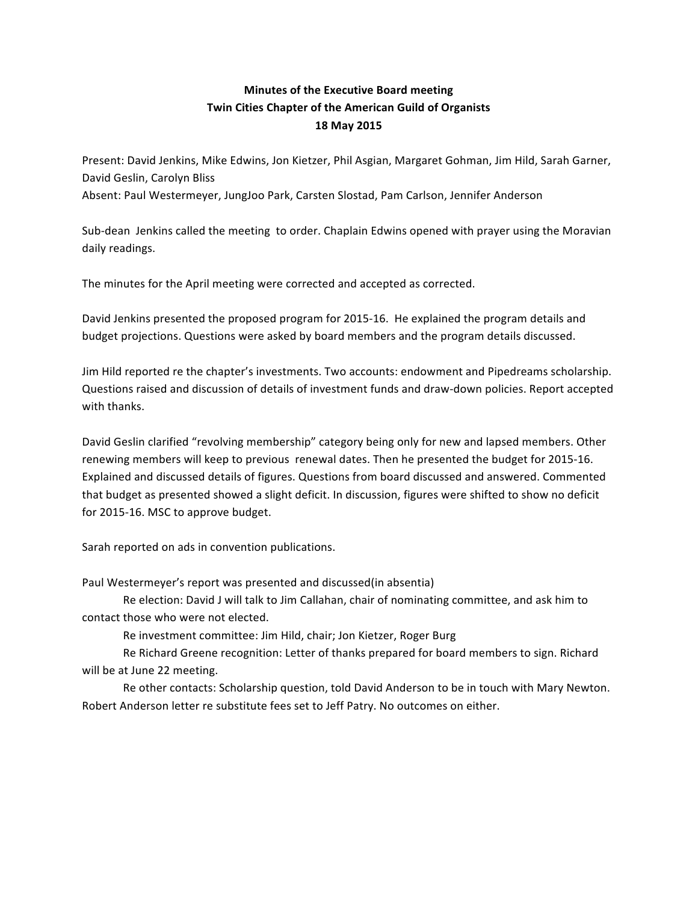## **Minutes of the Executive Board meeting Twin Cities Chapter of the American Guild of Organists 18 May 2015**

Present: David Jenkins, Mike Edwins, Jon Kietzer, Phil Asgian, Margaret Gohman, Jim Hild, Sarah Garner, David Geslin, Carolyn Bliss Absent: Paul Westermeyer, JungJoo Park, Carsten Slostad, Pam Carlson, Jennifer Anderson

Sub-dean Jenkins called the meeting to order. Chaplain Edwins opened with prayer using the Moravian daily readings.

The minutes for the April meeting were corrected and accepted as corrected.

David Jenkins presented the proposed program for 2015-16. He explained the program details and budget projections. Questions were asked by board members and the program details discussed.

Jim Hild reported re the chapter's investments. Two accounts: endowment and Pipedreams scholarship. Questions raised and discussion of details of investment funds and draw-down policies. Report accepted with thanks.

David Geslin clarified "revolving membership" category being only for new and lapsed members. Other renewing members will keep to previous renewal dates. Then he presented the budget for 2015-16. Explained and discussed details of figures. Questions from board discussed and answered. Commented that budget as presented showed a slight deficit. In discussion, figures were shifted to show no deficit for 2015-16. MSC to approve budget.

Sarah reported on ads in convention publications.

Paul Westermeyer's report was presented and discussed(in absentia)

Re election: David J will talk to Jim Callahan, chair of nominating committee, and ask him to contact those who were not elected.

Re investment committee: Jim Hild, chair; Jon Kietzer, Roger Burg

Re Richard Greene recognition: Letter of thanks prepared for board members to sign. Richard will be at June 22 meeting.

Re other contacts: Scholarship question, told David Anderson to be in touch with Mary Newton. Robert Anderson letter re substitute fees set to Jeff Patry. No outcomes on either.